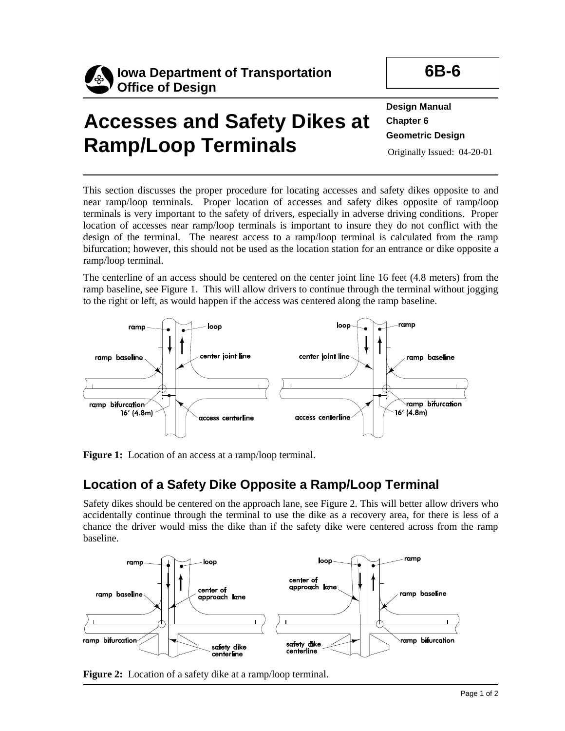

## **Accesses and Safety Dikes at Ramp/Loop Terminals**

**Design Manual Chapter 6 Geometric Design**  Originally Issued: 04-20-01

This section discusses the proper procedure for locating accesses and safety dikes opposite to and near ramp/loop terminals. Proper location of accesses and safety dikes opposite of ramp/loop terminals is very important to the safety of drivers, especially in adverse driving conditions. Proper location of accesses near ramp/loop terminals is important to insure they do not conflict with the design of the terminal. The nearest access to a ramp/loop terminal is calculated from the ramp bifurcation; however, this should not be used as the location station for an entrance or dike opposite a ramp/loop terminal.

The centerline of an access should be centered on the center joint line 16 feet (4.8 meters) from the ramp baseline, see Figure 1. This will allow drivers to continue through the terminal without jogging to the right or left, as would happen if the access was centered along the ramp baseline.



**Figure 1:** Location of an access at a ramp/loop terminal.

## **Location of a Safety Dike Opposite a Ramp/Loop Terminal**

Safety dikes should be centered on the approach lane, see Figure 2. This will better allow drivers who accidentally continue through the terminal to use the dike as a recovery area, for there is less of a chance the driver would miss the dike than if the safety dike were centered across from the ramp baseline.



**Figure 2:** Location of a safety dike at a ramp/loop terminal.